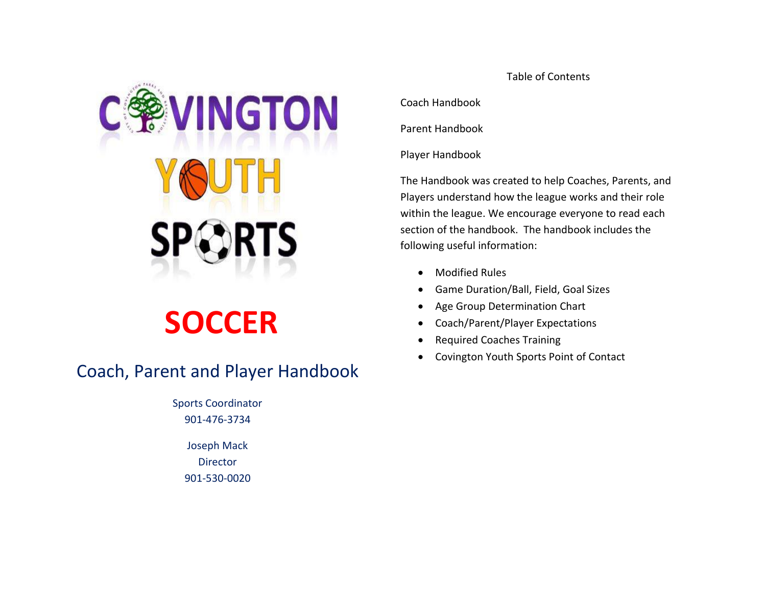

# **SOCCER**

# Coach, Parent and Player Handbook

Sports Coordinator 901-476-3734

> Joseph Mack **Director** 901-530-0020

Table of Contents

Coach Handbook

Parent Handbook

Player Handbook

The Handbook was created to help Coaches, Parents, and Players understand how the league works and their role within the league. We encourage everyone to read each section of the handbook. The handbook includes the following useful information:

- Modified Rules
- Game Duration/Ball, Field, Goal Sizes
- Age Group Determination Chart
- Coach/Parent/Player Expectations
- Required Coaches Training
- Covington Youth Sports Point of Contact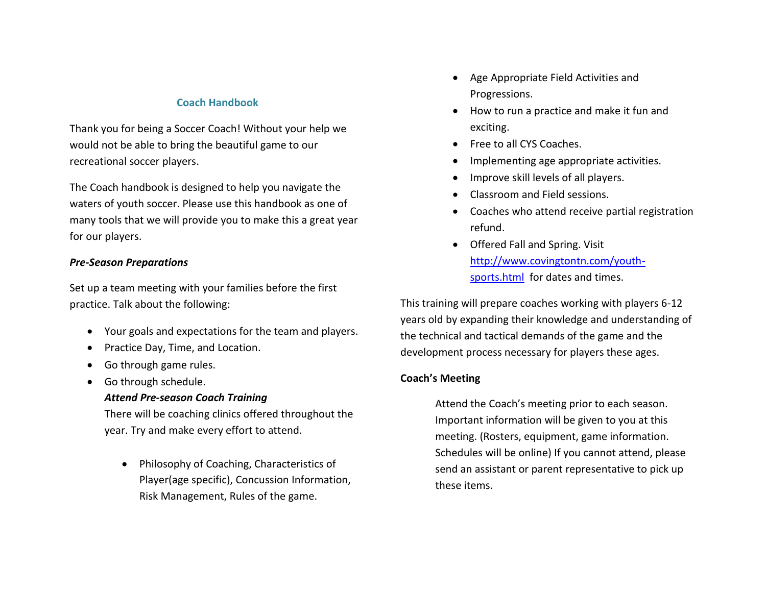# **Coach Handbook**

Thank you for being a Soccer Coach! Without your help we would not be able to bring the beautiful game to our recreational soccer players.

The Coach handbook is designed to help you navigate the waters of youth soccer. Please use this handbook as one of many tools that we will provide you to make this a great year for our players.

#### *Pre-Season Preparations*

Set up a team meeting with your families before the first practice. Talk about the following:

- Your goals and expectations for the team and players.
- Practice Day, Time, and Location.
- Go through game rules.
- Go through schedule.

#### *Attend Pre-season Coach Training*

There will be coaching clinics offered throughout the year. Try and make every effort to attend.

• Philosophy of Coaching, Characteristics of Player(age specific), Concussion Information, Risk Management, Rules of the game.

- Age Appropriate Field Activities and Progressions.
- How to run a practice and make it fun and exciting.
- Free to all CYS Coaches.
- Implementing age appropriate activities.
- Improve skill levels of all players.
- Classroom and Field sessions.
- Coaches who attend receive partial registration refund.
- Offered Fall and Spring. Visit [http://www.covingtontn.com/youth](http://www.covingtontn.com/youth-sports.html)[sports.html](http://www.covingtontn.com/youth-sports.html) for dates and times.

This training will prepare coaches working with players 6-12 years old by expanding their knowledge and understanding of the technical and tactical demands of the game and the development process necessary for players these ages.

# **Coach's Meeting**

Attend the Coach's meeting prior to each season. Important information will be given to you at this meeting. (Rosters, equipment, game information. Schedules will be online) If you cannot attend, please send an assistant or parent representative to pick up these items.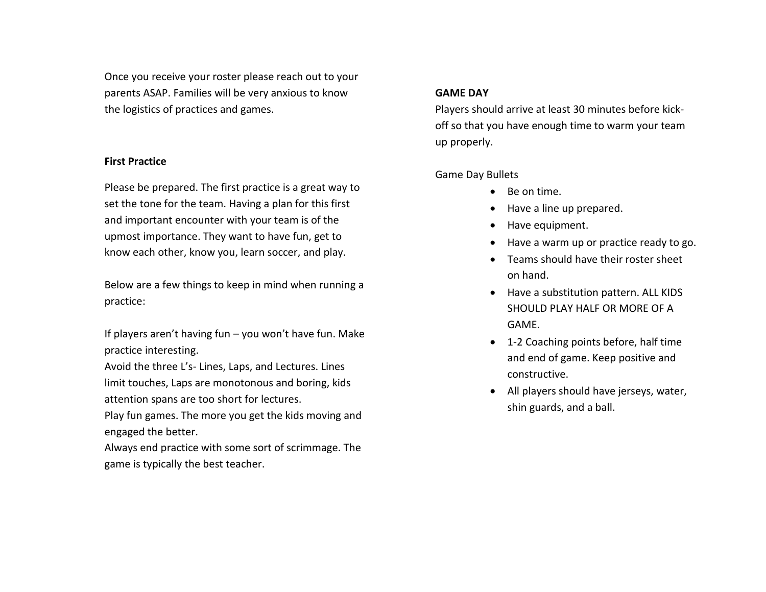Once you receive your roster please reach out to your parents ASAP. Families will be very anxious to know the logistics of practices and games.

# **First Practice**

Please be prepared. The first practice is a great way to set the tone for the team. Having a plan for this first and important encounter with your team is of the upmost importance. They want to have fun, get to know each other, know you, learn soccer, and play.

Below are a few things to keep in mind when running a practice:

If players aren't having fun – you won't have fun. Make practice interesting.

Avoid the three L's- Lines, Laps, and Lectures. Lines limit touches, Laps are monotonous and boring, kids attention spans are too short for lectures.

Play fun games. The more you get the kids moving and engaged the better.

Always end practice with some sort of scrimmage. The game is typically the best teacher.

#### **GAME DAY**

Players should arrive at least 30 minutes before kickoff so that you have enough time to warm your team up properly.

# Game Day Bullets

- Be on time.
- Have a line up prepared.
- Have equipment.
- Have a warm up or practice ready to go.
- Teams should have their roster sheet on hand.
- Have a substitution pattern. ALL KIDS SHOULD PLAY HALF OR MORE OF A GAME.
- 1-2 Coaching points before, half time and end of game. Keep positive and constructive.
- All players should have jerseys, water, shin guards, and a ball.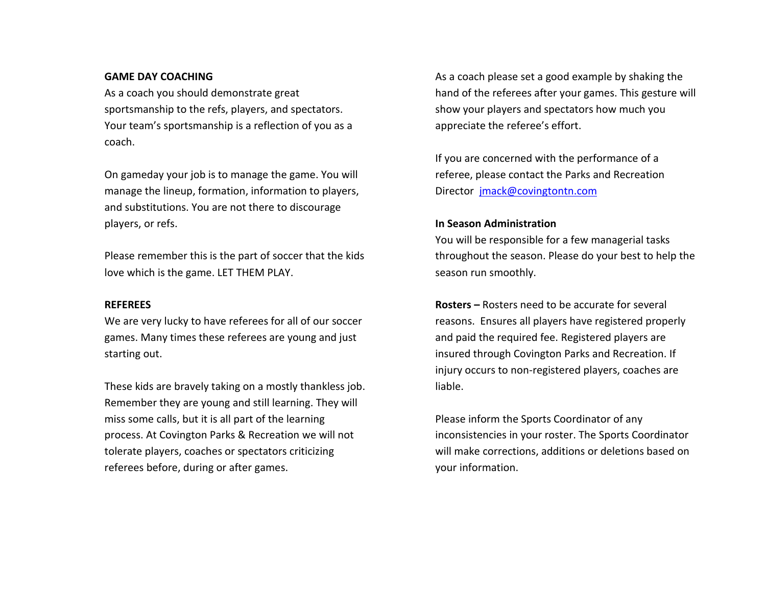#### **GAME DAY COACHING**

As a coach you should demonstrate great sportsmanship to the refs, players, and spectators. Your team's sportsmanship is a reflection of you as a coach.

On gameday your job is to manage the game. You will manage the lineup, formation, information to players, and substitutions. You are not there to discourage players, or refs.

Please remember this is the part of soccer that the kids love which is the game. LET THEM PLAY.

#### **REFEREES**

We are very lucky to have referees for all of our soccer games. Many times these referees are young and just starting out.

These kids are bravely taking on a mostly thankless job. Remember they are young and still learning. They will miss some calls, but it is all part of the learning process. At Covington Parks & Recreation we will not tolerate players, coaches or spectators criticizing referees before, during or after games.

As a coach please set a good example by shaking the hand of the referees after your games. This gesture will show your players and spectators how much you appreciate the referee's effort.

If you are concerned with the performance of a referee, please contact the Parks and Recreation Director [jmack@covingtontn.com](mailto:jmack@covingtontn.com)

#### **In Season Administration**

You will be responsible for a few managerial tasks throughout the season. Please do your best to help the season run smoothly.

**Rosters –** Rosters need to be accurate for several reasons. Ensures all players have registered properly and paid the required fee. Registered players are insured through Covington Parks and Recreation. If injury occurs to non-registered players, coaches are liable.

Please inform the Sports Coordinator of any inconsistencies in your roster. The Sports Coordinator will make corrections, additions or deletions based on your information.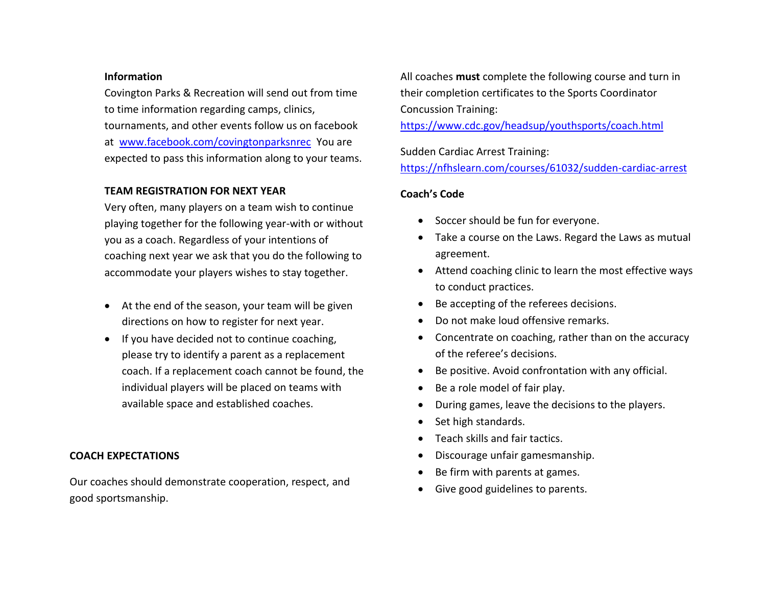#### **Information**

Covington Parks & Recreation will send out from time to time information regarding camps, clinics, tournaments, and other events follow us on facebook at [www.facebook.com/covingtonparksnrec](http://www.facebook.com/covingtonparksnrec) You are expected to pass this information along to your teams.

# **TEAM REGISTRATION FOR NEXT YEAR**

Very often, many players on a team wish to continue playing together for the following year-with or without you as a coach. Regardless of your intentions of coaching next year we ask that you do the following to accommodate your players wishes to stay together.

- At the end of the season, your team will be given directions on how to register for next year.
- If you have decided not to continue coaching, please try to identify a parent as a replacement coach. If a replacement coach cannot be found, the individual players will be placed on teams with available space and established coaches.

# **COACH EXPECTATIONS**

Our coaches should demonstrate cooperation, respect, and good sportsmanship.

All coaches **must** complete the following course and turn in their completion certificates to the Sports Coordinator Concussion Training:

<https://www.cdc.gov/headsup/youthsports/coach.html>

Sudden Cardiac Arrest Training:

<https://nfhslearn.com/courses/61032/sudden-cardiac-arrest>

# **Coach's Code**

- Soccer should be fun for everyone.
- Take a course on the Laws. Regard the Laws as mutual agreement.
- Attend coaching clinic to learn the most effective ways to conduct practices.
- Be accepting of the referees decisions.
- Do not make loud offensive remarks.
- Concentrate on coaching, rather than on the accuracy of the referee's decisions.
- Be positive. Avoid confrontation with any official.
- Be a role model of fair play.
- During games, leave the decisions to the players.
- Set high standards.
- Teach skills and fair tactics.
- Discourage unfair gamesmanship.
- Be firm with parents at games.
- Give good guidelines to parents.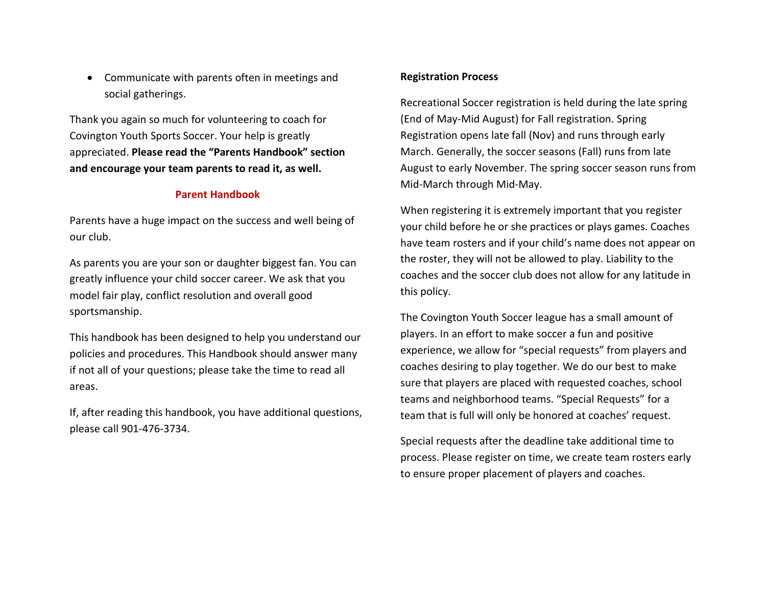• Communicate with parents often in meetings and social gatherings.

Thank you again so much for volunteering to coach for Covington Youth Sports Soccer. Your help is greatly appreciated. **Please read the "Parents Handbook" section and encourage your team parents to read it, as well.** 

#### **Parent Handbook**

Parents have a huge impact on the success and well being of our club.

As parents you are your son or daughter biggest fan. You can greatly influence your child soccer career. We ask that you model fair play, conflict resolution and overall good sportsmanship.

This handbook has been designed to help you understand our policies and procedures. This Handbook should answer many if not all of your questions; please take the time to read all areas.

If, after reading this handbook, you have additional questions, please call 901-476-3734.

#### **Registration Process**

Recreational Soccer registration is held during the late spring (End of May-Mid August) for Fall registration. Spring Registration opens late fall (Nov) and runs through early March. Generally, the soccer seasons (Fall) runs from late August to early November. The spring soccer season runs from Mid-March through Mid-May.

When registering it is extremely important that you register your child before he or she practices or plays games. Coaches have team rosters and if your child's name does not appear on the roster, they will not be allowed to play. Liability to the coaches and the soccer club does not allow for any latitude in this policy.

The Covington Youth Soccer league has a small amount of players. In an effort to make soccer a fun and positive experience, we allow for "special requests" from players and coaches desiring to play together. We do our best to make sure that players are placed with requested coaches, school teams and neighborhood teams. "Special Requests" for a team that is full will only be honored at coaches' request.

Special requests after the deadline take additional time to process. Please register on time, we create team rosters early to ensure proper placement of players and coaches.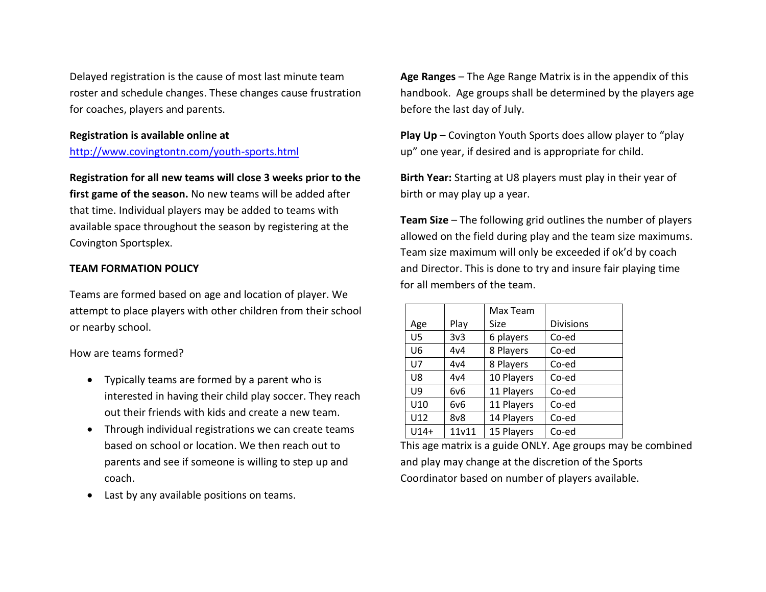Delayed registration is the cause of most last minute team roster and schedule changes. These changes cause frustration for coaches, players and parents.

# **Registration is available online at**

# <http://www.covingtontn.com/youth-sports.html>

#### **Registration for all new teams will close 3 weeks prior to the**

**first game of the season.** No new teams will be added after that time. Individual players may be added to teams with available space throughout the season by registering at the Covington Sportsplex.

# **TEAM FORMATION POLICY**

Teams are formed based on age and location of player. We attempt to place players with other children from their school or nearby school.

# How are teams formed?

- Typically teams are formed by a parent who is interested in having their child play soccer. They reach out their friends with kids and create a new team.
- Through individual registrations we can create teams based on school or location. We then reach out to parents and see if someone is willing to step up and coach.
- Last by any available positions on teams.

**Age Ranges** – The Age Range Matrix is in the appendix of this handbook. Age groups shall be determined by the players age before the last day of July.

**Play Up** – Covington Youth Sports does allow player to "play up" one year, if desired and is appropriate for child.

**Birth Year:** Starting at U8 players must play in their year of birth or may play up a year.

**Team Size** – The following grid outlines the number of players allowed on the field during play and the team size maximums. Team size maximum will only be exceeded if ok'd by coach and Director. This is done to try and insure fair playing time for all members of the team.

|                |       | Max Team   |                  |
|----------------|-------|------------|------------------|
| Age            | Play  | Size       | <b>Divisions</b> |
| U <sub>5</sub> | 3v3   | 6 players  | Co-ed            |
| U6             | 4v4   | 8 Players  | Co-ed            |
| U <sub>7</sub> | 4v4   | 8 Players  | Co-ed            |
| U8             | 4v4   | 10 Players | Co-ed            |
| U9             | 6v6   | 11 Players | Co-ed            |
| U10            | 6v6   | 11 Players | Co-ed            |
| U12            | 8v8   | 14 Players | Co-ed            |
| $U14+$         | 11v11 | 15 Players | Co-ed            |

This age matrix is a guide ONLY. Age groups may be combined and play may change at the discretion of the Sports Coordinator based on number of players available.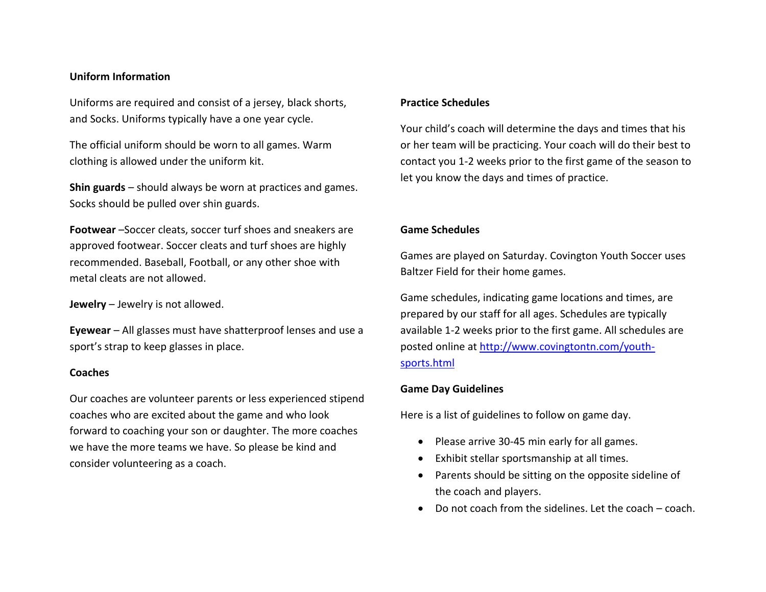#### **Uniform Information**

Uniforms are required and consist of a jersey, black shorts, and Socks. Uniforms typically have a one year cycle.

The official uniform should be worn to all games. Warm clothing is allowed under the uniform kit.

**Shin guards** – should always be worn at practices and games. Socks should be pulled over shin guards.

**Footwear** –Soccer cleats, soccer turf shoes and sneakers are approved footwear. Soccer cleats and turf shoes are highly recommended. Baseball, Football, or any other shoe with metal cleats are not allowed.

**Jewelry** – Jewelry is not allowed.

**Eyewear** – All glasses must have shatterproof lenses and use a sport's strap to keep glasses in place.

#### **Coaches**

Our coaches are volunteer parents or less experienced stipend coaches who are excited about the game and who look forward to coaching your son or daughter. The more coaches we have the more teams we have. So please be kind and consider volunteering as a coach.

# **Practice Schedules**

Your child's coach will determine the days and times that his or her team will be practicing. Your coach will do their best to contact you 1-2 weeks prior to the first game of the season to let you know the days and times of practice.

# **Game Schedules**

Games are played on Saturday. Covington Youth Soccer uses Baltzer Field for their home games.

Game schedules, indicating game locations and times, are prepared by our staff for all ages. Schedules are typically available 1-2 weeks prior to the first game. All schedules are posted online at [http://www.covingtontn.com/youth](http://www.covingtontn.com/youth-sports.html)[sports.html](http://www.covingtontn.com/youth-sports.html)

# **Game Day Guidelines**

Here is a list of guidelines to follow on game day.

- Please arrive 30-45 min early for all games.
- Exhibit stellar sportsmanship at all times.
- Parents should be sitting on the opposite sideline of the coach and players.
- Do not coach from the sidelines. Let the coach coach.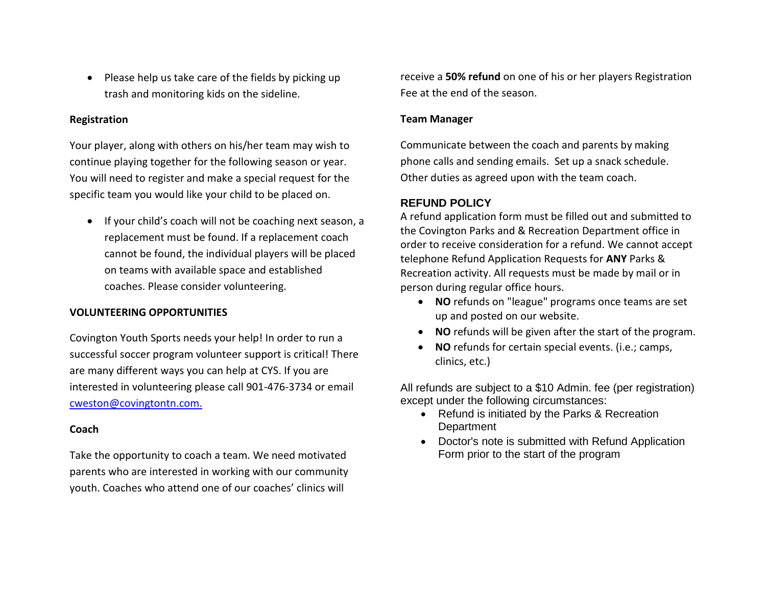• Please help us take care of the fields by picking up trash and monitoring kids on the sideline.

# **Registration**

Your player, along with others on his/her team may wish to continue playing together for the following season or year. You will need to register and make a special request for the specific team you would like your child to be placed on.

• If your child's coach will not be coaching next season, a replacement must be found. If a replacement coach cannot be found, the individual players will be placed on teams with available space and established coaches. Please consider volunteering.

# **VOLUNTEERING OPPORTUNITIES**

Covington Youth Sports needs your help! In order to run a successful soccer program volunteer support is critical! There are many different ways you can help at CYS. If you are interested in volunteering please call 901-476-3734 or email [cweston@covingtontn.com.](mailto:cweston@covingtontn.com)

# **Coach**

Take the opportunity to coach a team. We need motivated parents who are interested in working with our community youth. Coaches who attend one of our coaches' clinics will

receive a **50% refund** on one of his or her players Registration Fee at the end of the season.

# **Team Manager**

Communicate between the coach and parents by making phone calls and sending emails. Set up a snack schedule. Other duties as agreed upon with the team coach.

# **REFUND POLICY**

A refund application form must be filled out and submitted to the Covington Parks and & Recreation Department office in order to receive consideration for a refund. We cannot accept telephone Refund Application Requests for **ANY** Parks & Recreation activity. All requests must be made by mail or in person during regular office hours.

- **NO** refunds on "league" programs once teams are set up and posted on our website.
- **NO** refunds will be given after the start of the program.
- **NO** refunds for certain special events. (i.e.; camps, clinics, etc.)

All refunds are subject to a \$10 Admin. fee (per registration) except under the following circumstances:

- Refund is initiated by the Parks & Recreation **Department**
- Doctor's note is submitted with Refund Application Form prior to the start of the program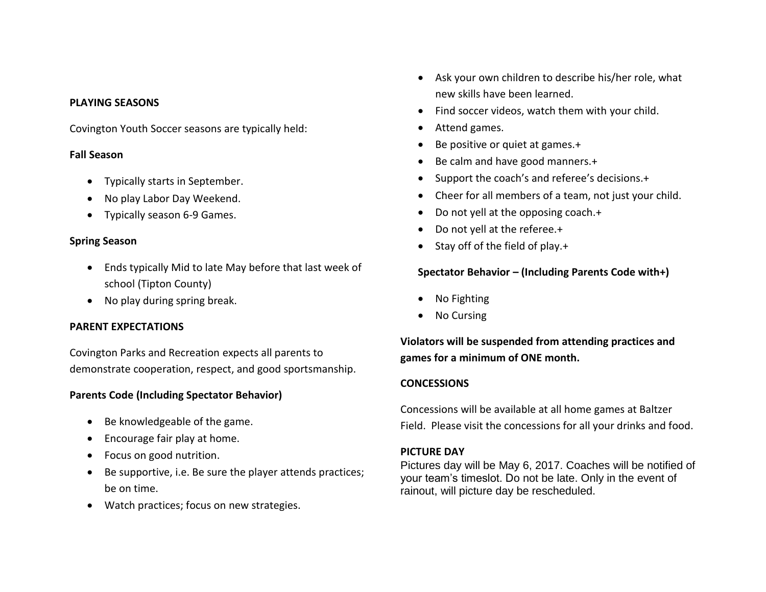#### **PLAYING SEASONS**

Covington Youth Soccer seasons are typically held:

# **Fall Season**

- Typically starts in September.
- No play Labor Day Weekend.
- Typically season 6-9 Games.

# **Spring Season**

- Ends typically Mid to late May before that last week of school (Tipton County)
- No play during spring break.

# **PARENT EXPECTATIONS**

Covington Parks and Recreation expects all parents to demonstrate cooperation, respect, and good sportsmanship.

# **Parents Code (Including Spectator Behavior)**

- Be knowledgeable of the game.
- Encourage fair play at home.
- Focus on good nutrition.
- Be supportive, i.e. Be sure the player attends practices; be on time.
- Watch practices; focus on new strategies.
- Ask your own children to describe his/her role, what new skills have been learned.
- Find soccer videos, watch them with your child.
- Attend games.
- Be positive or quiet at games.+
- Be calm and have good manners.+
- Support the coach's and referee's decisions.+
- Cheer for all members of a team, not just your child.
- Do not yell at the opposing coach.+
- Do not yell at the referee.+
- Stay off of the field of play.+

# **Spectator Behavior – (Including Parents Code with+)**

- No Fighting
- No Cursing

**Violators will be suspended from attending practices and games for a minimum of ONE month.**

# **CONCESSIONS**

Concessions will be available at all home games at Baltzer Field. Please visit the concessions for all your drinks and food.

# **PICTURE DAY**

Pictures day will be May 6, 2017. Coaches will be notified of your team's timeslot. Do not be late. Only in the event of rainout, will picture day be rescheduled.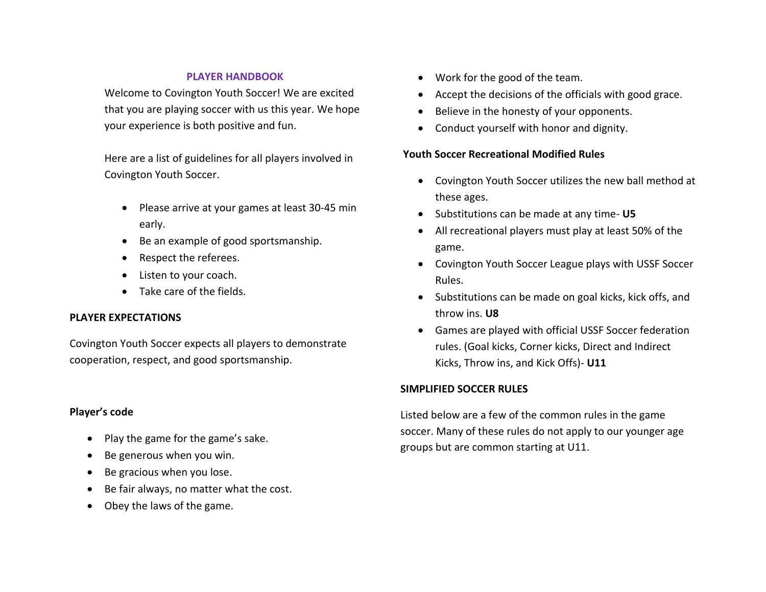# **PLAYER HANDBOOK**

Welcome to Covington Youth Soccer! We are excited that you are playing soccer with us this year. We hope your experience is both positive and fun.

Here are a list of guidelines for all players involved in Covington Youth Soccer.

- Please arrive at your games at least 30-45 min early.
- Be an example of good sportsmanship.
- Respect the referees.
- Listen to your coach.
- Take care of the fields.

# **PLAYER EXPECTATIONS**

Covington Youth Soccer expects all players to demonstrate cooperation, respect, and good sportsmanship.

# **Player's code**

- Play the game for the game's sake.
- Be generous when you win.
- Be gracious when you lose.
- Be fair always, no matter what the cost.
- Obey the laws of the game.
- Work for the good of the team.
- Accept the decisions of the officials with good grace.
- Believe in the honesty of your opponents.
- Conduct yourself with honor and dignity.

# **Youth Soccer Recreational Modified Rules**

- Covington Youth Soccer utilizes the new ball method at these ages.
- Substitutions can be made at any time- **U5**
- All recreational players must play at least 50% of the game.
- Covington Youth Soccer League plays with USSF Soccer Rules.
- Substitutions can be made on goal kicks, kick offs, and throw ins. **U8**
- Games are played with official USSF Soccer federation rules. (Goal kicks, Corner kicks, Direct and Indirect Kicks, Throw ins, and Kick Offs)- **U11**

# **SIMPLIFIED SOCCER RULES**

Listed below are a few of the common rules in the game soccer. Many of these rules do not apply to our younger age groups but are common starting at U11.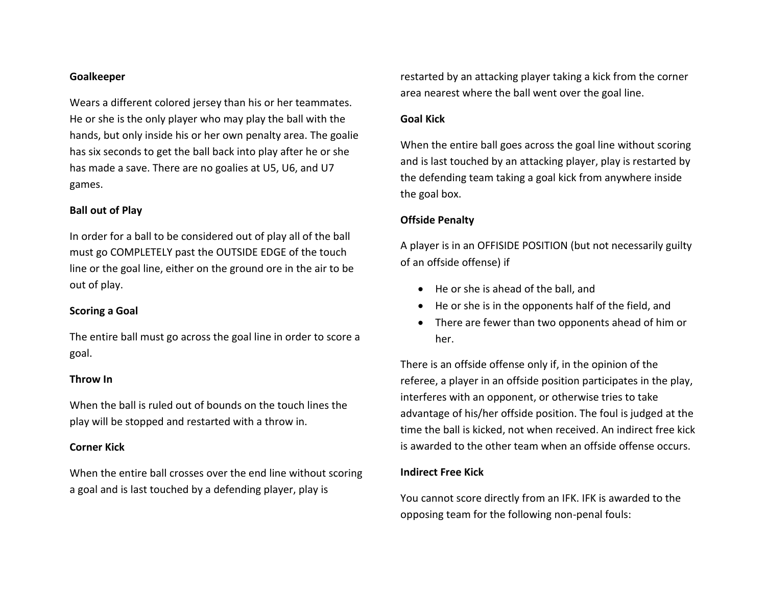#### **Goalkeeper**

Wears a different colored jersey than his or her teammates. He or she is the only player who may play the ball with the hands, but only inside his or her own penalty area. The goalie has six seconds to get the ball back into play after he or she has made a save. There are no goalies at U5, U6, and U7 games.

# **Ball out of Play**

In order for a ball to be considered out of play all of the ball must go COMPLETELY past the OUTSIDE EDGE of the touch line or the goal line, either on the ground ore in the air to be out of play.

#### **Scoring a Goal**

The entire ball must go across the goal line in order to score a goal.

#### **Throw In**

When the ball is ruled out of bounds on the touch lines the play will be stopped and restarted with a throw in.

#### **Corner Kick**

When the entire ball crosses over the end line without scoring a goal and is last touched by a defending player, play is

restarted by an attacking player taking a kick from the corner area nearest where the ball went over the goal line.

# **Goal Kick**

When the entire ball goes across the goal line without scoring and is last touched by an attacking player, play is restarted by the defending team taking a goal kick from anywhere inside the goal box.

# **Offside Penalty**

A player is in an OFFISIDE POSITION (but not necessarily guilty of an offside offense) if

- He or she is ahead of the ball, and
- He or she is in the opponents half of the field, and
- There are fewer than two opponents ahead of him or her.

There is an offside offense only if, in the opinion of the referee, a player in an offside position participates in the play, interferes with an opponent, or otherwise tries to take advantage of his/her offside position. The foul is judged at the time the ball is kicked, not when received. An indirect free kick is awarded to the other team when an offside offense occurs.

#### **Indirect Free Kick**

You cannot score directly from an IFK. IFK is awarded to the opposing team for the following non-penal fouls: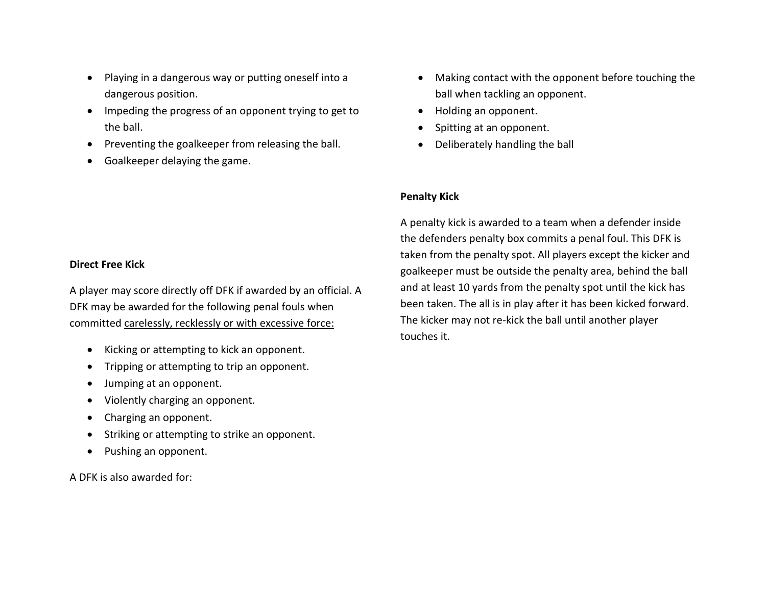- Playing in a dangerous way or putting oneself into a dangerous position.
- Impeding the progress of an opponent trying to get to the ball.
- Preventing the goalkeeper from releasing the ball.
- Goalkeeper delaying the game.

# **Direct Free Kick**

A player may score directly off DFK if awarded by an official. A DFK may be awarded for the following penal fouls when committed carelessly, recklessly or with excessive force:

- Kicking or attempting to kick an opponent.
- Tripping or attempting to trip an opponent.
- Jumping at an opponent.
- Violently charging an opponent.
- Charging an opponent.
- Striking or attempting to strike an opponent.
- Pushing an opponent.

A DFK is also awarded for:

- Making contact with the opponent before touching the ball when tackling an opponent.
- Holding an opponent.
- Spitting at an opponent.
- Deliberately handling the ball

# **Penalty Kick**

A penalty kick is awarded to a team when a defender inside the defenders penalty box commits a penal foul. This DFK is taken from the penalty spot. All players except the kicker and goalkeeper must be outside the penalty area, behind the ball and at least 10 yards from the penalty spot until the kick has been taken. The all is in play after it has been kicked forward. The kicker may not re-kick the ball until another player touches it.